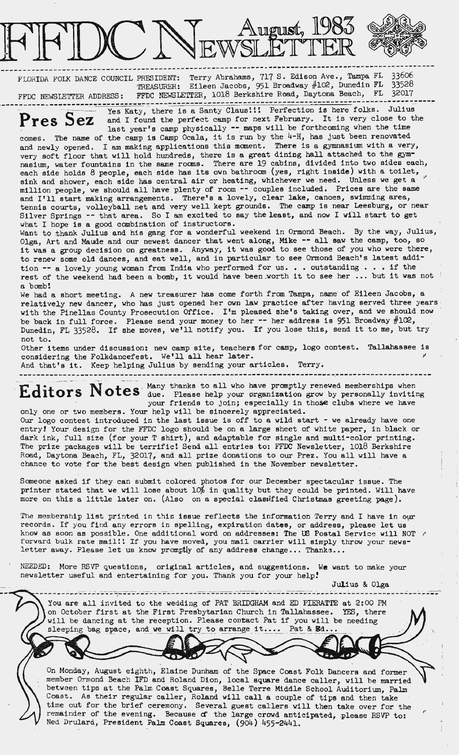

----------------------------------------------------------------------- - - FLORIDA FOLK DANCE COUNCIL PRESIDENT: Terry Abrahams, 717 S. Edison Ave., Tampa FL 33606 TREASURER: Eileen Jacobs, 951 Broadway #102, Dunedin FL 33528 FFDC NEWSLETTER ADDRESS: FFDC NEWSLETTER, 1018 Berkshire Road, Daytona Beach, FL 32017

Pres Sez and I found the perfect camp for next February. It is very close to the last year's camp physically -- maps will be forthcoming when the time

comes. The name of the camp is Camp Ocala, it is run by the  $4-H$ , has just been renovated and newly opened. I am making applications this moment. There is a gymnasium with a very, very soft floor that will hold hundreds, there is a great dining hall attached to the gymnasium, water fountains in the same rooms. There are 19 cabins, divided into two sides each, each side holds 8 people, each side has its own bathroom (yes, right inside) with a toilet, sink and shower, each side has central air or heating, whichever we need. Unless we get a million people, we should all have plenty of room -- couples included. Prices are the same and I'll start making arrangements. There's a lovely, clear lake, canoes, swimming area, tennis courts, volleyball net and very well kept grounds. The camp is **near** Leesburg, or near Silver Springs -- that area. So I am excited to say the least, and now I will start to get what I hope is a good combination of instructors.

Want to thank Julius and his gang for a wonderful weekend in Ormond Beach. By the way, Julius, Olga, Art and Maude and our newest dancer that went along, Mike -- all saw the camp, too, so it was a group decision on greatness. Anyway, it was good to see those of you who were there, to renew some old dances, and eat well, and in particular to see Ormond Beach's latest addition  $-$  a lovely young woman from India who performed for us. . . outstanding . . . if the rest of the weekend had been a bomb, it would have been worth it to see her ... but it was not a bomb!

We had a short meeting. A new treasurer has come forth from Tampa, name of Eileen Jacobs, a relatively new dancer, who has just opened her own law practice after having served three years with the Pinellas County Prosecution Office. I'm pleased she's taking over, and we should now be back in full force. Please send your money to her  $-$  her address is 951 Broadway  $#102$ , Dunedin, FL 33528. If she moves, we'll notify you. If you lose this, send it to me, but try not to.

Other items under discussion: new camp site, teachers for camp, logo contest. Tallahassee is considering the Folkdancefest. We'll all hear later. *<sup>1</sup>*

And that's it. Keep helping Julius by sending your articles. Terry.

Editors Notes due. Please help your organization grow by personally inviting your friends to join; especially in those clubs where we have only one or two members. Your help will be sincerely appreciated.

Our logo contest introduced in the last issue is off to a wild start - we already have one entry! Your design for the FFDC logo should be on a large sheet of white paper, in black or dark ink, full size (for your T shirt), and adaptable for single and multi-color printing. The prize packages will be terrific! Send all entries to: FFDC Newsletter, 1018 Berkshire Road, Daytona Beach, FL, 32017, and all prize donations to our Prez. You all will have a chance to vote for the best design when published in the November newsletter.

Someone asked if they can submit colored photos for our December spectacular issue. The printer stated that we will lose about  $10\frac{2}{3}$  in quality but they could be printed. Will have more on this a little later on. (Also on a special classified Christmas greeting page).

The membership list printed in this issue reflects the information Terry and I have in our records. If you find any errors in spelling, expiration **dates,** or address, please let us know as soon as possible. One additional word on addresses: The US Postal Service will NOT forward bulk rate mail!! If you have moved, you mail carrier will simply throw your newsletter away. Please let us know promptly of any address change... Thanks...

NEEDED: More RSVP questions, original articles, and suggestions. **We** want to make your newsletter useful and entertaining for you. Thank you for your help?

Julius & Olga

You are all invited to the wedding of PAT BRIDGHAM and ED PIERATTE at 2:00 PM on October first at the First Presbytarian Church in Tallahassee. YES, there will be dancing at the reception. Please contact Pat if you will be needing sleeping bag space, and we will try to arrange it.... Pat & **Bd..** 

. ··- - - --- - - - --- -------------- - .

On Monday, August eighth, Elaine Dunham of the Space Coast Folk Dancers and former member Ormond Beach IFD anq Roland Dion, local **square** dance caller, will be married between tips at the Palm Coast Squares, Belle Terre Middle School Auditorium, Palm Coast. As their regular caller, Roland will call a couple of tips and then take time out for the brief ceremony. Several guest callers will then take over for the remainder of the evening. Because of the large crowd anticipated, please RSVP to: Ned Drulard, President Palm Coast Squares, (904) 455-2441.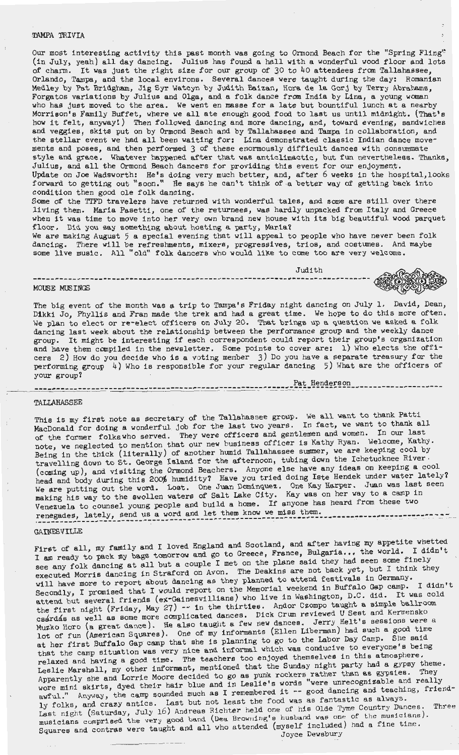## TAMPA TRIVIA

Our most interesting activity this past month was going to Ormond Beach for the "Spring Fling" (in July, yeah) all day dancing. Julius has found a hall with a wonderful wood floor and lots of charm. It was just the right size for our group of 30 to 40 attendees from Tallahassee, Orlando, Tampa, and the local environs. Several dances were taught during the day: Romanian Medley by Pat Bridgham, Jig Syr Watcyn by Judith Baizan, Hora de la Gorj by Terry Abrahams, Forgatos variations by Julius and Olga, and **a** folk dance from India by Lina, a young woman who has just moved to the **area.** We went en masse for a late but bountiful lunch at a nearby Morrison's Family Buffet, where we all ate enough good food to last us until midnight. (That's how it felt, anyway!) Then followed dancing and more dancing, and, toward evening, sandwiches and veggies, skits put on by Ormond Beach and by Tallahassee and Tampa in collaboration, and the stellar event we had all been waiting for: Lina demonstrated classic Indian dance movements and poses, and then performed 3 of these enormously difficult dances with consummate style and grace. Whatever happened after that was anticlimactic, but fun Julius, and all the Ormond Beach dancers for providing this event for our Update on Joe Wadsworth: He's doing very much better, and, after 6 weeks forward to getting out "soon." He says he can't think of a better way of condition then good ole folk dancing. nevertheless. Thanks, enjoyment. in the hospital,looks getting back into

Some of the TTFD travelers have returned with wonderful tales, and some are still over there living them. Maria Pasetti, one of the returnees, was hardly unpacked from Italy and Greece when it was time to move into her very own brand new house with its big beautiful wood parquet floor. Did you say something about hosting a party, Maria?

We are making August 5 a special evening that will appeal to people who have never been folk dancing. There will be refreshments, mixers, progressives, trios, and costumes. And maybe some live music. All "old" folk dancers who would like to come too are very welcome.

Judith

# -- ----------------------------------------------------~------- MOUSE MUSINGS

The big event of the month was a trip to Tampa's Friday night dancing on July 1. David, Dean, Dikki Jo, Phyllis and Fran made the trek and had a great time. We hope to do this more often. We plan to elect or re-elect officers on July 20. That brings up a question we asked a folk dancing last week about the relationship between the performance group and the weekly dance group. It might be interesting if each correspondent could report their group's organization and have them compiled in the newsletter. Some points to cover are: 1) Who elects the officers 2) How do you decide who is a voting member 3) Do you have a separate treasury for the performing group 4) Who is responsible for your regular dancing 5) What are the officers of your group?

----------------------------------------------------~~~:::-~~~-Henderson \_\_\_\_\_\_\_\_\_\_\_\_\_\_\_\_\_\_\_\_ \_

### TALLAHASSEE

This is my first note as secretary of the Tallahassee group. We all want to thank Patti MacDonald for doing a wonderful job for the last two years. In fact, we want to thank all of the former folkswho served. They were officers and gentlemen and women. In our last of the former folks who served: They were expected to mention that our new business officer is Kathy Ryan. Welcome, Kathy. hote, we hegiected to mention that can have a more interesting cool by Being in the thick (literally) of another humid Tallahassee summer, we are keeping cool by travelling down to St. George Island for the afternoon, tubing down the Ichetucknee River- (coming up), and visiting the Ormond Beachers. Anyone else have any ideas on keeping a cool (coming up), and visiting the criminal service have you tried doing Iste Hendek under water lately? head and body during this Eco, human extractions of the contract of the Margaret. Juan was last seen making his way to the swollen waters of Salt Lake City. Kay was on her way to a camp in making his way to the sworldn watched to the land of the state in the section of the section of the section of renegades, lately, send us a word and let them know we miss them. ·------------------------------------------------------------------------. ---- <sup>~</sup>---- \_-. ---::.-.--\_-:.-:-\_\_ GAINESVILLE

First of all, my family and I loved England and Scotland, and after having my appetite whetted I am ready to pack my bags tomorrow and go to Greece, France, Bulgaria... the world. I didn't see any folk dancing at all but a couple I met on the plane said they had seen some finely see any folk dancing at all sat a very line of the Deakins are not back yet, but I think they executed Morris dancing in Straford on Avon. The Deakins are not back yet, but I think they executed morits dancing in boid on the season planned to attend festivals in Germany. Secondly, I promised that I would report on the Memorial weekend in Buffalo Gap camp. I didn't attend but several friends (ex-Gainesvillians) who live in Washington, D.C. did. It was cold the first night (Friday, May 27) -- in the thirties. Andor Czompo taught a simple ballroom the lifet hight (filmary,  $\frac{1}{2}$ ,  $\frac{1}{2}$ ,  $\frac{1}{2}$ ,  $\frac{1}{2}$ ,  $\frac{1}{2}$ ,  $\frac{1}{2}$ ,  $\frac{1}{2}$ ,  $\frac{1}{2}$ ,  $\frac{1}{2}$ ,  $\frac{1}{2}$ ,  $\frac{1}{2}$ ,  $\frac{1}{2}$ ,  $\frac{1}{2}$ ,  $\frac{1}{2}$ ,  $\frac{1}{2}$ ,  $\frac{1}{2}$ ,  $\frac{1}{2}$ ,  $\frac{1}{2}$ Muzko Horo (a great dance). He also taught a few new dances. Jerry Helt's sessions were a. lot of fun (American Squares}. One of my informants (Ellen Liberman) had such a good time lot of fun (American Squares). One of my first shannely.<br>at her first Buffalo Gap camp that she is planning to go to the Labor Day Camp. She said at her first build be camp that the camp of the conductive to everyone's being that the camp situation was very hist and the series too enjoyed themselves in this atmosphere. relaxed and maying a good sime. The seature that the Sunday night party had a gypsy theme. Leslie Marshall, my other informancy measure the content of the as gypsies. They Apparently she and Lorite moote decides to go white words "were unrecognizable and really awful." Anyway, the camp sounded much as I remembered it -- good dancing and teaching, friendly folks, and crazy antics. Last but not least the food was as fantastic as always. Last night (Saturday, July 16 ) Andreas Richter held one of his Olde Tyme Country Dances. Three musicians comprised the very good band (Dea Browning's husband was one of the musicians). Squares and contras were taught and all who attended {myself included) had a fine time. Joyce Dewsbury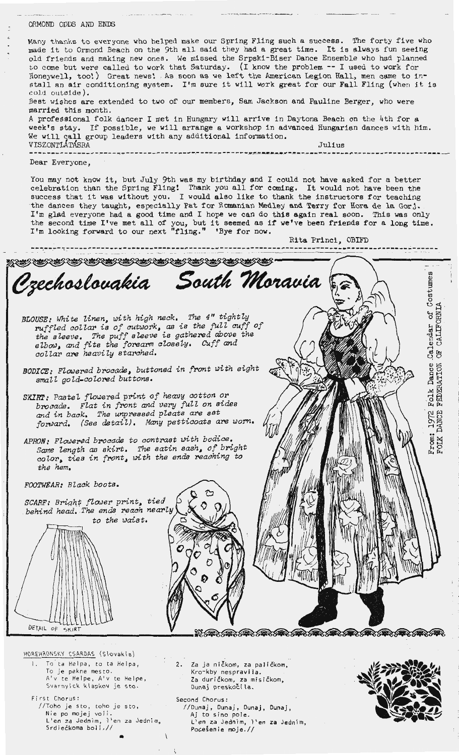## ORMOND ODDS AND ENDS

Many thanks to everyone who helped make our Spring Fling such a success. The forty five who made it to Ormond Beach on the 9th all said they had a great time. It is always fun seeing old friends and making new ones. We missed the Srpski-Biser Dance Ensemble who had planned to come but were called to work that Saturday. (I know the problem -- I used to work for Honeywell, too!) Great news! As soon as we left the American Legion Hall, men came to install an air conditioning system. I'm sure it will work great for our Fall Fling (when it is cold outside). Best wishes are extended to two of our members, Sam Jackson and Pauline Berger, who were

married this month. A professional folk dancer I met in Hungary will arrive in Daytona Beach on the 4th for a week's stay. If possible, we will arrange a workshop in advanced Hungarian dances with him. We will call group leaders with any additional information. VISZONTLATASRA Julius - ---------- ---------~"!" -------- ----------------- --**--tfr~ ------------~------ -----------** \_"'-\_\_ ,,. \_\_\_ --------------------- Dear Everyone,

You may not know it, but July 9th was my birthday and I could not have asked for a better celebration than the Spring Fling! Thank you all for coming. It would not have been the success that it was without you. I would also like to thank the instructors for teaching the dances they taught, especially Pat for Romanian Medley and Terry for Hora de la Gorj. I'm glad everyone had a good time and I hope we can do this **again** real soon. Thia was only I'm giad everyone nad a good time and I hope we can do this again real soon. This was only<br>the second time I've met all of you, but it seemed as if we've been friends for a long time. I'm looking forward to our next "fling." 'Bye for now.

Rita Princi, OBIFD -- .--. -.\_ ----------------------------------- -- -- ----------------------------------------- ~~~~~~~~ .,  ${\mathcal{C}}$ zechoslovakia South Moravia uume 8 cost<br>[1 '<br>ខេត្ត<br>-*BLOUSE: White l.inen, tJith high neck. The 4" tight'ly*  ruffled collar is of cutwork, as is the full cuff of Calendar endar<br>CALLE *the sleeve. The puff s Leeve is gathered above the elbOtJ, and fits the forearm oloseLy. Cuff and*   $\ddot{\sigma}$ *coiiar are heaviZy starched.*  Folk Dance<br>FEDERATION *BODICE: Flowered brocade, buttoned in front with eight smaU goZd-coZored buttons.*  SKIRT: Pastel flowered print of heavy cotton or brocade. Flat in front and very full on sides *and in back, The unpressed pLeats are set*  인 문 *fonJard. (See detail). Many petticoats are worn.*   $\frac{1}{2}$ *APRON• FLowered brocade to contrast with bodice.*   $\mathop{\mathrm{F}}\nolimits_{\mathrm{F}}^{\mathrm{G}}$  . *sa:ne Length as skirt. The satin sash, of \_bright*  color, ties in front, with the ends reaching to *the hem. FOOTWEAR: BZack boots. SCARF: BriqhJ fiower print, tied* . *behind head •. The ends reach nearly*  to the waist. DETAIL OF SE ANDER AN ANDER AN ANDER AN ANDER A HOREHRONSKY CSARDAS (Slovakia)

- To ta Helpa, to ta Helpa, To je pekne mesto . A'v te Helpe, A'v te Helpe, Svarnyick klapkov je sto.
- First Chorus: //Toho je sto, toho je sto, Nie po mojej voli.<br>L'en za Jed<mark>n</mark>im, i'en za Jednim<u>,</u> Srdiečkoma boli.// •
- 2. Za ja ničkom, za paličkom, Kro-kby nespravila. Za durickom, za mis ickom, .<br>Dunaj preskočila.
- Second Chorus: //Dunaj, Dunaj, Dunaj, Dunaj, Aj to sino pole. L'en za Jednim, I 'en za Jednim, Pocešenie moje.//